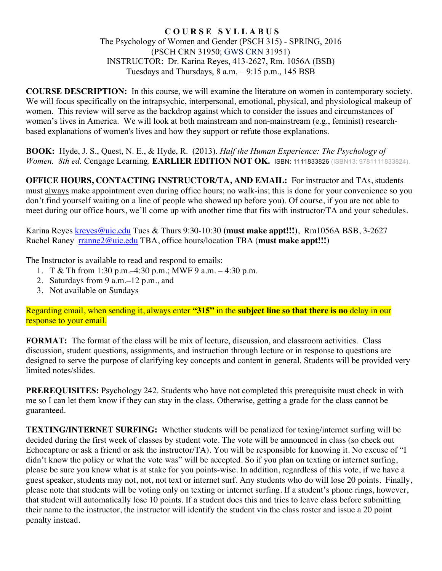#### **C O U R S E S Y L L A B U S** The Psychology of Women and Gender (PSCH 315) - SPRING, 2016 (PSCH CRN 31950; GWS CRN 31951) INSTRUCTOR: Dr. Karina Reyes, 413-2627, Rm. 1056A (BSB) Tuesdays and Thursdays,  $8$  a.m.  $-9:15$  p.m., 145 BSB

**COURSE DESCRIPTION:** In this course, we will examine the literature on women in contemporary society. We will focus specifically on the intrapsychic, interpersonal, emotional, physical, and physiological makeup of women. This review will serve as the backdrop against which to consider the issues and circumstances of women's lives in America. We will look at both mainstream and non-mainstream (e.g., feminist) researchbased explanations of women's lives and how they support or refute those explanations.

**BOOK:** Hyde, J. S., Quest, N. E., & Hyde, R. (2013). *Half the Human Experience: The Psychology of Women. 8th ed.* Cengage Learning. **EARLIER EDITION NOT OK.** ISBN: 1111833826 (ISBN13: 9781111833824).

**OFFICE HOURS, CONTACTING INSTRUCTOR/TA, AND EMAIL:** For instructor and TAs, students must always make appointment even during office hours; no walk-ins; this is done for your convenience so you don't find yourself waiting on a line of people who showed up before you). Of course, if you are not able to meet during our office hours, we'll come up with another time that fits with instructor/TA and your schedules.

Karina Reyes kreyes@uic.edu Tues & Thurs 9:30-10:30 **(must make appt!!!)**, Rm1056A BSB, 3-2627 Rachel Raney rranne2@uic.edu TBA, office hours/location TBA (**must make appt!!!)**

The Instructor is available to read and respond to emails:

- 1. T & Th from 1:30 p.m.–4:30 p.m.; MWF 9 a.m. 4:30 p.m.
- 2. Saturdays from 9 a.m.–12 p.m., and
- 3. Not available on Sundays

Regarding email, when sending it, always enter **"315"** in the **subject line so that there is no** delay in our response to your email.

**FORMAT:** The format of the class will be mix of lecture, discussion, and classroom activities. Class discussion, student questions, assignments, and instruction through lecture or in response to questions are designed to serve the purpose of clarifying key concepts and content in general. Students will be provided very limited notes/slides.

**PREREQUISITES:** Psychology 242. Students who have not completed this prerequisite must check in with me so I can let them know if they can stay in the class. Otherwise, getting a grade for the class cannot be guaranteed.

**TEXTING/INTERNET SURFING:** Whether students will be penalized for texing/internet surfing will be decided during the first week of classes by student vote. The vote will be announced in class (so check out Echocapture or ask a friend or ask the instructor/TA). You will be responsible for knowing it. No excuse of "I didn't know the policy or what the vote was" will be accepted. So if you plan on texting or internet surfing, please be sure you know what is at stake for you points-wise. In addition, regardless of this vote, if we have a guest speaker, students may not, not, not text or internet surf. Any students who do will lose 20 points. Finally, please note that students will be voting only on texting or internet surfing. If a student's phone rings, however, that student will automatically lose 10 points. If a student does this and tries to leave class before submitting their name to the instructor, the instructor will identify the student via the class roster and issue a 20 point penalty instead.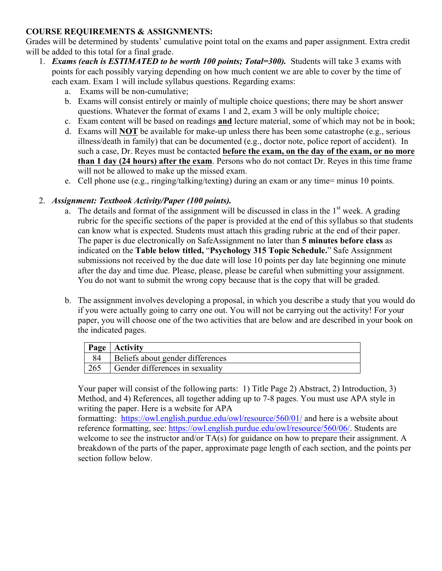# **COURSE REQUIREMENTS & ASSIGNMENTS:**

Grades will be determined by students' cumulative point total on the exams and paper assignment. Extra credit will be added to this total for a final grade.

- 1. *Exams (each is ESTIMATED to be worth 100 points; Total=300).* Students will take 3 exams with points for each possibly varying depending on how much content we are able to cover by the time of each exam. Exam 1 will include syllabus questions. Regarding exams:
	- a. Exams will be non-cumulative;
	- b. Exams will consist entirely or mainly of multiple choice questions; there may be short answer questions. Whatever the format of exams 1 and 2, exam 3 will be only multiple choice;
	- c. Exam content will be based on readings **and** lecture material, some of which may not be in book;
	- d. Exams will **NOT** be available for make-up unless there has been some catastrophe (e.g., serious illness/death in family) that can be documented (e.g., doctor note, police report of accident). In such a case, Dr. Reyes must be contacted **before the exam, on the day of the exam, or no more than 1 day (24 hours) after the exam**. Persons who do not contact Dr. Reyes in this time frame will not be allowed to make up the missed exam.
	- e. Cell phone use (e.g., ringing/talking/texting) during an exam or any time= minus 10 points.

### 2. *Assignment: Textbook Activity/Paper (100 points).*

- a. The details and format of the assignment will be discussed in class in the  $1<sup>st</sup>$  week. A grading rubric for the specific sections of the paper is provided at the end of this syllabus so that students can know what is expected. Students must attach this grading rubric at the end of their paper. The paper is due electronically on SafeAssignment no later than **5 minutes before class** as indicated on the **Table below titled,** "**Psychology 315 Topic Schedule.**" Safe Assignment submissions not received by the due date will lose 10 points per day late beginning one minute after the day and time due. Please, please, please be careful when submitting your assignment. You do not want to submit the wrong copy because that is the copy that will be graded.
- b. The assignment involves developing a proposal, in which you describe a study that you would do if you were actually going to carry one out. You will not be carrying out the activity! For your paper, you will choose one of the two activities that are below and are described in your book on the indicated pages.

|     | <b>Page</b>   Activity           |
|-----|----------------------------------|
|     | Beliefs about gender differences |
| 265 | Gender differences in sexuality  |

Your paper will consist of the following parts: 1) Title Page 2) Abstract, 2) Introduction, 3) Method, and 4) References, all together adding up to 7-8 pages. You must use APA style in writing the paper. Here is a website for APA

formatting: https://owl.english.purdue.edu/owl/resource/560/01/ and here is a website about reference formatting, see: https://owl.english.purdue.edu/owl/resource/560/06/. Students are welcome to see the instructor and/or TA(s) for guidance on how to prepare their assignment. A breakdown of the parts of the paper, approximate page length of each section, and the points per section follow below.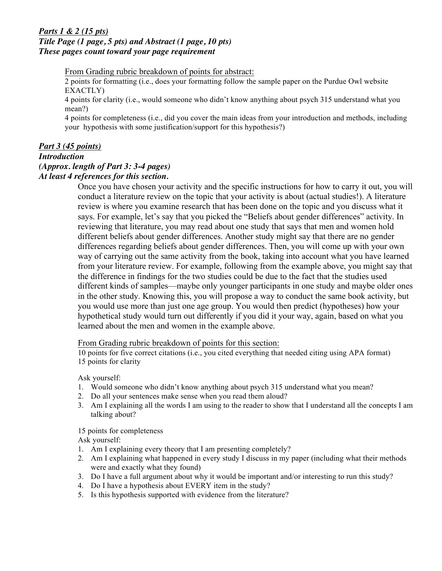#### *Parts 1 & 2 (15 pts) Title Page (1 page, 5 pts) and Abstract (1 page, 10 pts) These pages count toward your page requirement*

From Grading rubric breakdown of points for abstract:

2 points for formatting (i.e., does your formatting follow the sample paper on the Purdue Owl website EXACTLY)

4 points for clarity (i.e., would someone who didn't know anything about psych 315 understand what you mean?)

4 points for completeness (i.e., did you cover the main ideas from your introduction and methods, including your hypothesis with some justification/support for this hypothesis?)

#### *Part 3 (45 points)*

#### *Introduction*

### *(Approx. length of Part 3: 3-4 pages)*

*At least 4 references for this section.*

Once you have chosen your activity and the specific instructions for how to carry it out, you will conduct a literature review on the topic that your activity is about (actual studies!). A literature review is where you examine research that has been done on the topic and you discuss what it says. For example, let's say that you picked the "Beliefs about gender differences" activity. In reviewing that literature, you may read about one study that says that men and women hold different beliefs about gender differences. Another study might say that there are no gender differences regarding beliefs about gender differences. Then, you will come up with your own way of carrying out the same activity from the book, taking into account what you have learned from your literature review. For example, following from the example above, you might say that the difference in findings for the two studies could be due to the fact that the studies used different kinds of samples—maybe only younger participants in one study and maybe older ones in the other study. Knowing this, you will propose a way to conduct the same book activity, but you would use more than just one age group. You would then predict (hypotheses) how your hypothetical study would turn out differently if you did it your way, again, based on what you learned about the men and women in the example above.

From Grading rubric breakdown of points for this section:

10 points for five correct citations (i.e., you cited everything that needed citing using APA format) 15 points for clarity

Ask yourself:

- 1. Would someone who didn't know anything about psych 315 understand what you mean?
- 2. Do all your sentences make sense when you read them aloud?
- 3. Am I explaining all the words I am using to the reader to show that I understand all the concepts I am talking about?

15 points for completeness

Ask yourself:

- 1. Am I explaining every theory that I am presenting completely?
- 2. Am I explaining what happened in every study I discuss in my paper (including what their methods were and exactly what they found)
- 3. Do I have a full argument about why it would be important and/or interesting to run this study?
- 4. Do I have a hypothesis about EVERY item in the study?
- 5. Is this hypothesis supported with evidence from the literature?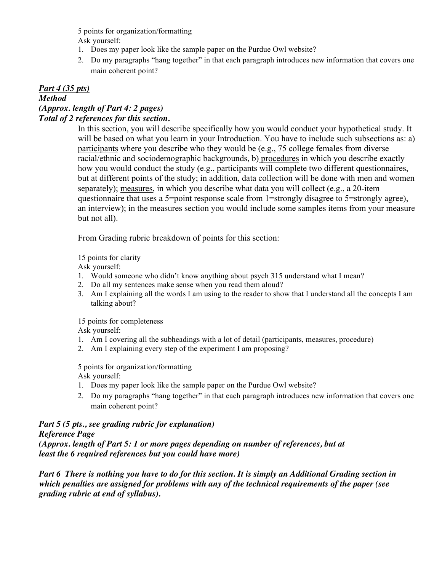5 points for organization/formatting Ask yourself:

- 1. Does my paper look like the sample paper on the Purdue Owl website?
- 2. Do my paragraphs "hang together" in that each paragraph introduces new information that covers one main coherent point?

### *Part 4 (35 pts)*

### *Method (Approx. length of Part 4: 2 pages)*

### *Total of 2 references for this section.*

In this section, you will describe specifically how you would conduct your hypothetical study. It will be based on what you learn in your Introduction. You have to include such subsections as: a) participants where you describe who they would be (e.g., 75 college females from diverse racial/ethnic and sociodemographic backgrounds, b) procedures in which you describe exactly how you would conduct the study (e.g., participants will complete two different questionnaires, but at different points of the study; in addition, data collection will be done with men and women separately); measures, in which you describe what data you will collect (e.g., a 20-item questionnaire that uses a 5=point response scale from 1=strongly disagree to 5=strongly agree), an interview); in the measures section you would include some samples items from your measure but not all).

From Grading rubric breakdown of points for this section:

15 points for clarity

Ask yourself:

- 1. Would someone who didn't know anything about psych 315 understand what I mean?
- 2. Do all my sentences make sense when you read them aloud?
- 3. Am I explaining all the words I am using to the reader to show that I understand all the concepts I am talking about?

15 points for completeness Ask yourself:

- 1. Am I covering all the subheadings with a lot of detail (participants, measures, procedure)
- 2. Am I explaining every step of the experiment I am proposing?

5 points for organization/formatting Ask yourself:

- 1. Does my paper look like the sample paper on the Purdue Owl website?
- 2. Do my paragraphs "hang together" in that each paragraph introduces new information that covers one main coherent point?

### *Part 5 (5 pts., see grading rubric for explanation)*

### *Reference Page*

*(Approx. length of Part 5: 1 or more pages depending on number of references, but at least the 6 required references but you could have more)*

*Part 6 There is nothing you have to do for this section. It is simply an Additional Grading section in which penalties are assigned for problems with any of the technical requirements of the paper (see grading rubric at end of syllabus).*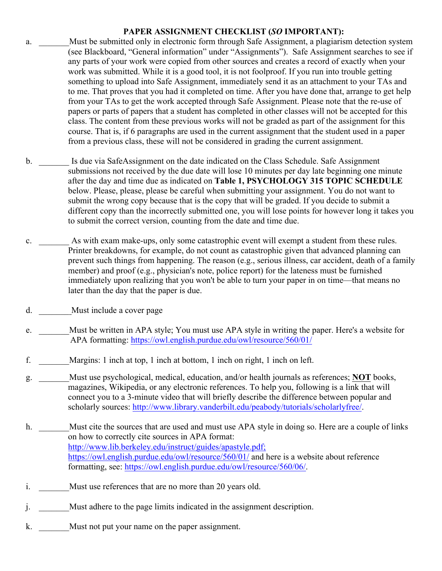### **PAPER ASSIGNMENT CHECKLIST (***SO* **IMPORTANT):**

- a. Must be submitted only in electronic form through Safe Assignment, a plagiarism detection system (see Blackboard, "General information" under "Assignments"). Safe Assignment searches to see if any parts of your work were copied from other sources and creates a record of exactly when your work was submitted. While it is a good tool, it is not foolproof. If you run into trouble getting something to upload into Safe Assignment, immediately send it as an attachment to your TAs and to me. That proves that you had it completed on time. After you have done that, arrange to get help from your TAs to get the work accepted through Safe Assignment. Please note that the re-use of papers or parts of papers that a student has completed in other classes will not be accepted for this class. The content from these previous works will not be graded as part of the assignment for this course. That is, if 6 paragraphs are used in the current assignment that the student used in a paper from a previous class, these will not be considered in grading the current assignment.
- b. Is due via SafeAssignment on the date indicated on the Class Schedule. Safe Assignment submissions not received by the due date will lose 10 minutes per day late beginning one minute after the day and time due as indicated on **Table 1, PSYCHOLOGY 315 TOPIC SCHEDULE** below. Please, please, please be careful when submitting your assignment. You do not want to submit the wrong copy because that is the copy that will be graded. If you decide to submit a different copy than the incorrectly submitted one, you will lose points for however long it takes you to submit the correct version, counting from the date and time due.
- c. \_\_\_\_\_\_\_ As with exam make-ups, only some catastrophic event will exempt a student from these rules. Printer breakdowns, for example, do not count as catastrophic given that advanced planning can prevent such things from happening. The reason (e.g., serious illness, car accident, death of a family member) and proof (e.g., physician's note, police report) for the lateness must be furnished immediately upon realizing that you won't be able to turn your paper in on time—that means no later than the day that the paper is due.
- d. Must include a cover page
- e. Must be written in APA style; You must use APA style in writing the paper. Here's a website for APA formatting: https://owl.english.purdue.edu/owl/resource/560/01/
- f. \_\_\_\_\_\_\_Margins: 1 inch at top, 1 inch at bottom, 1 inch on right, 1 inch on left.
- g. \_\_\_\_\_\_\_Must use psychological, medical, education, and/or health journals as references; **NOT** books, magazines, Wikipedia, or any electronic references. To help you, following is a link that will connect you to a 3-minute video that will briefly describe the difference between popular and scholarly sources: http://www.library.vanderbilt.edu/peabody/tutorials/scholarlyfree/.
- h. Must cite the sources that are used and must use APA style in doing so. Here are a couple of links on how to correctly cite sources in APA format: http://www.lib.berkeley.edu/instruct/guides/apastyle.pdf; https://owl.english.purdue.edu/owl/resource/560/01/ and here is a website about reference formatting, see: https://owl.english.purdue.edu/owl/resource/560/06/.
- i. Must use references that are no more than 20 years old.
- j. \_\_\_\_\_\_\_Must adhere to the page limits indicated in the assignment description.
- k. Must not put your name on the paper assignment.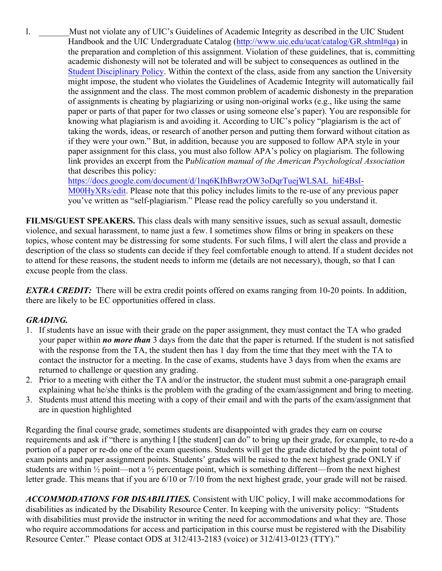l. \_\_\_\_\_\_\_Must not violate any of UIC's Guidelines of Academic Integrity as described in the UIC Student Handbook and the UIC Undergraduate Catalog (http://www.uic.edu/ucat/catalog/GR.shtml#qa) in the preparation and completion of this assignment. Violation of these guidelines, that is, committing academic dishonesty will not be tolerated and will be subject to consequences as outlined in the Student Disciplinary Policy. Within the context of the class, aside from any sanction the University might impose, the student who violates the Guidelines of Academic Integrity will automatically fail the assignment and the class. The most common problem of academic dishonesty in the preparation of assignments is cheating by plagiarizing or using non-original works (e.g., like using the same paper or parts of that paper for two classes or using someone else's paper). You are responsible for knowing what plagiarism is and avoiding it. According to UIC's policy "plagiarism is the act of taking the words, ideas, or research of another person and putting them forward without citation as if they were your own." But, in addition, because you are supposed to follow APA style in your paper assignment for this class, you must also follow APA's policy on plagiarism. The following link provides an excerpt from the P*ublication manual of the American Psychological Association* that describes this policy:

> https://docs.google.com/document/d/1nq6KIhBwrzOW3oDqrTuejWLSAL\_hiE4BsI-M00HyXRs/edit. Please note that this policy includes limits to the re-use of any previous paper you've written as "self-plagiarism." Please read the policy carefully so you understand it.

**FILMS/GUEST SPEAKERS.** This class deals with many sensitive issues, such as sexual assault, domestic violence, and sexual harassment, to name just a few. I sometimes show films or bring in speakers on these topics, whose content may be distressing for some students. For such films, I will alert the class and provide a description of the class so students can decide if they feel comfortable enough to attend. If a student decides not to attend for these reasons, the student needs to inform me (details are not necessary), though, so that I can excuse people from the class.

*EXTRA CREDIT:* There will be extra credit points offered on exams ranging from 10-20 points. In addition, there are likely to be EC opportunities offered in class.

# *GRADING.*

- 1. If students have an issue with their grade on the paper assignment, they must contact the TA who graded your paper within *no more than* 3 days from the date that the paper is returned. If the student is not satisfied with the response from the TA, the student then has 1 day from the time that they meet with the TA to contact the instructor for a meeting. In the case of exams, students have 3 days from when the exams are returned to challenge or question any grading.
- 2. Prior to a meeting with either the TA and/or the instructor, the student must submit a one-paragraph email explaining what he/she thinks is the problem with the grading of the exam/assignment and bring to meeting.
- 3. Students must attend this meeting with a copy of their email and with the parts of the exam/assignment that are in question highlighted

Regarding the final course grade, sometimes students are disappointed with grades they earn on course requirements and ask if "there is anything I [the student] can do" to bring up their grade, for example, to re-do a portion of a paper or re-do one of the exam questions. Students will get the grade dictated by the point total of exam points and paper assignment points. Students' grades will be raised to the next highest grade ONLY if students are within  $\frac{1}{2}$  point—not a  $\frac{1}{2}$  percentage point, which is something different—from the next highest letter grade. This means that if you are 6/10 or 7/10 from the next highest grade, your grade will not be raised.

*ACCOMMODATIONS FOR DISABILITIES.* Consistent with UIC policy, I will make accommodations for disabilities as indicated by the Disability Resource Center. In keeping with the university policy: "Students with disabilities must provide the instructor in writing the need for accommodations and what they are. Those who require accommodations for access and participation in this course must be registered with the Disability Resource Center." Please contact ODS at 312/413-2183 (voice) or 312/413-0123 (TTY)."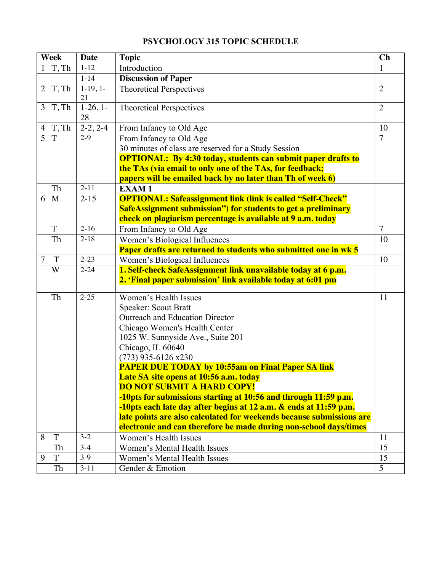|                         | <b>Week</b>    | <b>Date</b>           | <b>Topic</b>                                                                                                                 | Ch             |
|-------------------------|----------------|-----------------------|------------------------------------------------------------------------------------------------------------------------------|----------------|
| $\mathbf{1}$            | T, Th          | $1 - 12$              | Introduction                                                                                                                 | $\mathbf{1}$   |
|                         |                | $1 - 14$              | <b>Discussion of Paper</b>                                                                                                   |                |
|                         | 2 T, Th        | $1-19,1-$<br>21       | <b>Theoretical Perspectives</b>                                                                                              | $\overline{2}$ |
|                         | 3T, Th         | $1-26, 1-$<br>28      | <b>Theoretical Perspectives</b>                                                                                              | $\overline{2}$ |
|                         | $4T$ , Th      | $2-2, 2-\overline{4}$ | From Infancy to Old Age                                                                                                      | 10             |
| $\overline{\mathbf{5}}$ | T              | $2-9$                 | From Infancy to Old Age                                                                                                      | $\overline{7}$ |
|                         |                |                       | 30 minutes of class are reserved for a Study Session                                                                         |                |
|                         |                |                       | <b>OPTIONAL:</b> By 4:30 today, students can submit paper drafts to                                                          |                |
|                         |                |                       | the TAs (via email to only one of the TAs, for feedback;                                                                     |                |
|                         |                |                       | papers will be emailed back by no later than Th of week 6)                                                                   |                |
|                         | Th             | $2 - 11$              | <b>EXAM1</b>                                                                                                                 |                |
| 6                       | M              | $2 - 15$              | <b>OPTIONAL: Safeassignment link (link is called "Self-Check"</b>                                                            |                |
|                         |                |                       | SafeAssignment submission") for students to get a preliminary                                                                |                |
|                         |                |                       | check on plagiarism percentage is available at 9 a.m. today                                                                  |                |
|                         | $\overline{T}$ | $2-16$                | From Infancy to Old Age                                                                                                      | $\overline{7}$ |
|                         | Th             | $2 - 18$              | Women's Biological Influences                                                                                                | 10             |
|                         |                |                       | Paper drafts are returned to students who submitted one in wk 5                                                              |                |
| $\overline{7}$          | $\mathbf T$    | $2 - 23$              | Women's Biological Influences                                                                                                | 10             |
|                         | W              | $2 - 24$              | 1. Self-check SafeAssignment link unavailable today at 6 p.m.<br>2. 'Final paper submission' link available today at 6:01 pm |                |
|                         | Th             | $2 - 25$              | Women's Health Issues                                                                                                        | 11             |
|                         |                |                       | Speaker: Scout Bratt                                                                                                         |                |
|                         |                |                       | Outreach and Education Director                                                                                              |                |
|                         |                |                       | Chicago Women's Health Center                                                                                                |                |
|                         |                |                       | 1025 W. Sunnyside Ave., Suite 201                                                                                            |                |
|                         |                |                       | Chicago, IL 60640                                                                                                            |                |
|                         |                |                       | $(773)$ 935-6126 x230                                                                                                        |                |
|                         |                |                       | <b>PAPER DUE TODAY by 10:55am on Final Paper SA link</b>                                                                     |                |
|                         |                |                       | Late SA site opens at 10:56 a.m. today                                                                                       |                |
|                         |                |                       | <b>DO NOT SUBMIT A HARD COPY!</b>                                                                                            |                |
|                         |                |                       | -10pts for submissions starting at 10:56 and through 11:59 p.m.                                                              |                |
|                         |                |                       | -10pts each late day after begins at 12 a.m. & ends at 11:59 p.m.                                                            |                |
|                         |                |                       | late points are also calculated for weekends because submissions are                                                         |                |
|                         |                |                       | electronic and can therefore be made during non-school days/times                                                            |                |
| 8                       | T              | $3 - 2$               | Women's Health Issues                                                                                                        | 11             |
|                         | Th             | $3-4$                 | Women's Mental Health Issues                                                                                                 | 15             |
| 9                       | T              | $3-9$                 | Women's Mental Health Issues                                                                                                 | 15             |
|                         | Th             | $3 - 11$              | Gender & Emotion                                                                                                             | 5              |

# **PSYCHOLOGY 315 TOPIC SCHEDULE**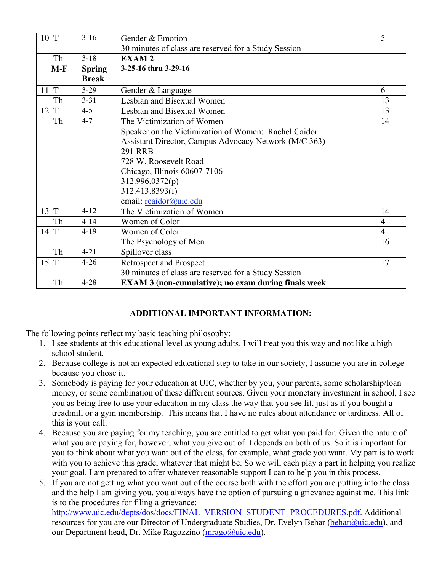| 10 T              | $3-16$        | Gender & Emotion                                           | 5              |
|-------------------|---------------|------------------------------------------------------------|----------------|
|                   |               | 30 minutes of class are reserved for a Study Session       |                |
| Th                | $3-18$        | <b>EXAM2</b>                                               |                |
| $M-F$             | <b>Spring</b> | 3-25-16 thru 3-29-16                                       |                |
|                   | <b>Break</b>  |                                                            |                |
| 11 T              | $3-29$        | Gender & Language                                          | 6              |
| Th                | $3 - 31$      | Lesbian and Bisexual Women                                 | 13             |
| $12 \overline{T}$ | $4 - 5$       | Lesbian and Bisexual Women                                 | 13             |
| Th                | $4 - 7$       | The Victimization of Women                                 | 14             |
|                   |               | Speaker on the Victimization of Women: Rachel Caidor       |                |
|                   |               | Assistant Director, Campus Advocacy Network (M/C 363)      |                |
|                   |               | <b>291 RRB</b>                                             |                |
|                   |               | 728 W. Roosevelt Road                                      |                |
|                   |               | Chicago, Illinois 60607-7106                               |                |
|                   |               | 312.996.0372(p)                                            |                |
|                   |               | 312.413.8393(f)                                            |                |
|                   |               | email: reaidor@uic.edu                                     |                |
| 13 T              | $4 - 12$      | The Victimization of Women                                 | 14             |
| Th                | $4 - 14$      | Women of Color                                             | $\overline{4}$ |
| 14 T              | $4-19$        | Women of Color                                             | $\overline{4}$ |
|                   |               | The Psychology of Men                                      | 16             |
| Th                | $4 - 21$      | Spillover class                                            |                |
| 15 T              | $4 - 26$      | <b>Retrospect and Prospect</b>                             | 17             |
|                   |               | 30 minutes of class are reserved for a Study Session       |                |
| Th                | $4 - 28$      | <b>EXAM 3 (non-cumulative); no exam during finals week</b> |                |

# **ADDITIONAL IMPORTANT INFORMATION:**

The following points reflect my basic teaching philosophy:

- 1. I see students at this educational level as young adults. I will treat you this way and not like a high school student.
- 2. Because college is not an expected educational step to take in our society, I assume you are in college because you chose it.
- 3. Somebody is paying for your education at UIC, whether by you, your parents, some scholarship/loan money, or some combination of these different sources. Given your monetary investment in school, I see you as being free to use your education in my class the way that you see fit, just as if you bought a treadmill or a gym membership. This means that I have no rules about attendance or tardiness. All of this is your call.
- 4. Because you are paying for my teaching, you are entitled to get what you paid for. Given the nature of what you are paying for, however, what you give out of it depends on both of us. So it is important for you to think about what you want out of the class, for example, what grade you want. My part is to work with you to achieve this grade, whatever that might be. So we will each play a part in helping you realize your goal. I am prepared to offer whatever reasonable support I can to help you in this process.
- 5. If you are not getting what you want out of the course both with the effort you are putting into the class and the help I am giving you, you always have the option of pursuing a grievance against me. This link is to the procedures for filing a grievance:

http://www.uic.edu/depts/dos/docs/FINAL\_VERSION\_STUDENT\_PROCEDURES.pdf. Additional resources for you are our Director of Undergraduate Studies, Dr. Evelyn Behar (behar@uic.edu), and our Department head, Dr. Mike Ragozzino (mrago@uic.edu).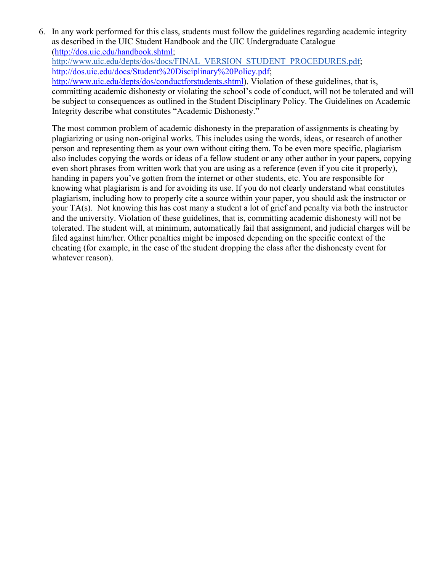6. In any work performed for this class, students must follow the guidelines regarding academic integrity as described in the UIC Student Handbook and the UIC Undergraduate Catalogue (http://dos.uic.edu/handbook.shtml; http://www.uic.edu/depts/dos/docs/FINAL\_VERSION\_STUDENT\_PROCEDURES.pdf; http://dos.uic.edu/docs/Student%20Disciplinary%20Policy.pdf; http://www.uic.edu/depts/dos/conductforstudents.shtml). Violation of these guidelines, that is, committing academic dishonesty or violating the school's code of conduct, will not be tolerated and will be subject to consequences as outlined in the Student Disciplinary Policy. The Guidelines on Academic Integrity describe what constitutes "Academic Dishonesty."

The most common problem of academic dishonesty in the preparation of assignments is cheating by plagiarizing or using non-original works. This includes using the words, ideas, or research of another person and representing them as your own without citing them. To be even more specific, plagiarism also includes copying the words or ideas of a fellow student or any other author in your papers, copying even short phrases from written work that you are using as a reference (even if you cite it properly), handing in papers you've gotten from the internet or other students, etc. You are responsible for knowing what plagiarism is and for avoiding its use. If you do not clearly understand what constitutes plagiarism, including how to properly cite a source within your paper, you should ask the instructor or your TA(s). Not knowing this has cost many a student a lot of grief and penalty via both the instructor and the university. Violation of these guidelines, that is, committing academic dishonesty will not be tolerated. The student will, at minimum, automatically fail that assignment, and judicial charges will be filed against him/her. Other penalties might be imposed depending on the specific context of the cheating (for example, in the case of the student dropping the class after the dishonesty event for whatever reason).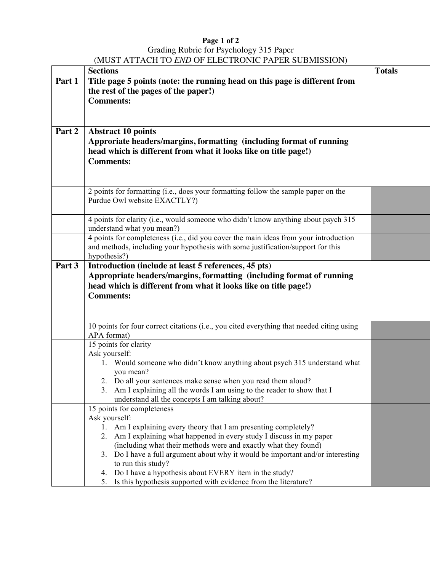#### **Page 1 of 2** Grading Rubric for Psychology 315 Paper (MUST ATTACH TO *END* OF ELECTRONIC PAPER SUBMISSION)

|        | <b>Sections</b>                                                                                                                           | <b>Totals</b> |
|--------|-------------------------------------------------------------------------------------------------------------------------------------------|---------------|
| Part 1 | Title page 5 points (note: the running head on this page is different from                                                                |               |
|        | the rest of the pages of the paper!)                                                                                                      |               |
|        | <b>Comments:</b>                                                                                                                          |               |
|        |                                                                                                                                           |               |
|        |                                                                                                                                           |               |
| Part 2 | <b>Abstract 10 points</b>                                                                                                                 |               |
|        | Approriate headers/margins, formatting (including format of running                                                                       |               |
|        | head which is different from what it looks like on title page!)                                                                           |               |
|        | <b>Comments:</b>                                                                                                                          |               |
|        |                                                                                                                                           |               |
|        |                                                                                                                                           |               |
|        | 2 points for formatting (i.e., does your formatting follow the sample paper on the                                                        |               |
|        | Purdue Owl website EXACTLY?)                                                                                                              |               |
|        | 4 points for clarity (i.e., would someone who didn't know anything about psych 315                                                        |               |
|        | understand what you mean?)                                                                                                                |               |
|        | 4 points for completeness (i.e., did you cover the main ideas from your introduction                                                      |               |
|        | and methods, including your hypothesis with some justification/support for this                                                           |               |
|        | hypothesis?)                                                                                                                              |               |
| Part 3 | Introduction (include at least 5 references, 45 pts)                                                                                      |               |
|        | Appropriate headers/margins, formatting (including format of running                                                                      |               |
|        | head which is different from what it looks like on title page!)                                                                           |               |
|        | <b>Comments:</b>                                                                                                                          |               |
|        |                                                                                                                                           |               |
|        | 10 points for four correct citations (i.e., you cited everything that needed citing using                                                 |               |
|        | APA format)                                                                                                                               |               |
|        | 15 points for clarity                                                                                                                     |               |
|        | Ask yourself:                                                                                                                             |               |
|        | Would someone who didn't know anything about psych 315 understand what<br>1.                                                              |               |
|        | you mean?                                                                                                                                 |               |
|        | 2. Do all your sentences make sense when you read them aloud?<br>3. Am I explaining all the words I am using to the reader to show that I |               |
|        | understand all the concepts I am talking about?                                                                                           |               |
|        | 15 points for completeness                                                                                                                |               |
|        | Ask yourself:                                                                                                                             |               |
|        | Am I explaining every theory that I am presenting completely?<br>1.                                                                       |               |
|        | 2. Am I explaining what happened in every study I discuss in my paper                                                                     |               |
|        | (including what their methods were and exactly what they found)                                                                           |               |
|        | Do I have a full argument about why it would be important and/or interesting<br>3.                                                        |               |
|        | to run this study?<br>Do I have a hypothesis about EVERY item in the study?<br>4.                                                         |               |
|        | Is this hypothesis supported with evidence from the literature?<br>5.                                                                     |               |
|        |                                                                                                                                           |               |